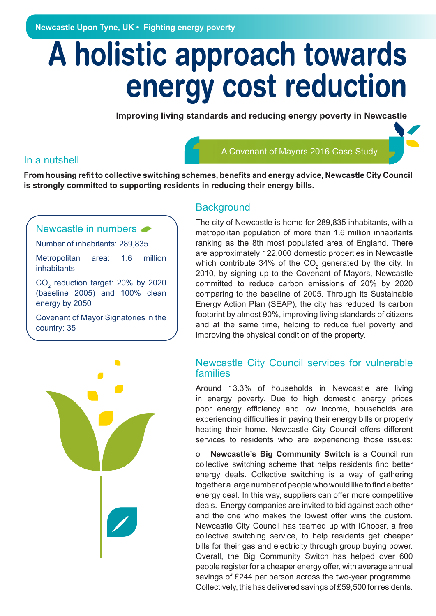**Newcastle Upon Tyne, UK • Fighting energy poverty**

# **A holistic approach towards energy cost reduction**

**Improving living standards and reducing energy poverty in Newcastle**

#### In a nutshell

A Covenant of Mayors 2016 Case Study

**From housing refit to collective switching schemes, benefits and energy advice, Newcastle City Council is strongly committed to supporting residents in reducing their energy bills.**

#### Newcastle in numbers

Number of inhabitants: 289,835

Metropolitan area: 1.6 million inhabitants

 $CO<sub>2</sub>$  reduction target: 20% by 2020 (baseline 2005) and 100% clean energy by 2050

Covenant of Mayor Signatories in the country: 35



#### **Background**

The city of Newcastle is home for 289,835 inhabitants, with a metropolitan population of more than 1.6 million inhabitants ranking as the 8th most populated area of England. There are approximately 122,000 domestic properties in Newcastle which contribute 34% of the CO<sub>2</sub> generated by the city. In 2010, by signing up to the Covenant of Mayors, Newcastle committed to reduce carbon emissions of 20% by 2020 comparing to the baseline of 2005. Through its Sustainable Energy Action Plan (SEAP), the city has reduced its carbon footprint by almost 90%, improving living standards of citizens and at the same time, helping to reduce fuel poverty and improving the physical condition of the property.

#### Newcastle City Council services for vulnerable families

Around 13.3% of households in Newcastle are living in energy poverty. Due to high domestic energy prices poor energy efficiency and low income, households are experiencing difficulties in paying their energy bills or properly heating their home. Newcastle City Council offers different services to residents who are experiencing those issues:

o **Newcastle's Big Community Switch** is a Council run collective switching scheme that helps residents find better energy deals. Collective switching is a way of gathering together a large number of people who would like to find a better energy deal. In this way, suppliers can offer more competitive deals. Energy companies are invited to bid against each other and the one who makes the lowest offer wins the custom. Newcastle City Council has teamed up with iChoosr, a free collective switching service, to help residents get cheaper bills for their gas and electricity through group buying power. Overall, the Big Community Switch has helped over 600 people register for a cheaper energy offer, with average annual savings of £244 per person across the two-year programme. Collectively, this has delivered savings of £59,500 for residents.